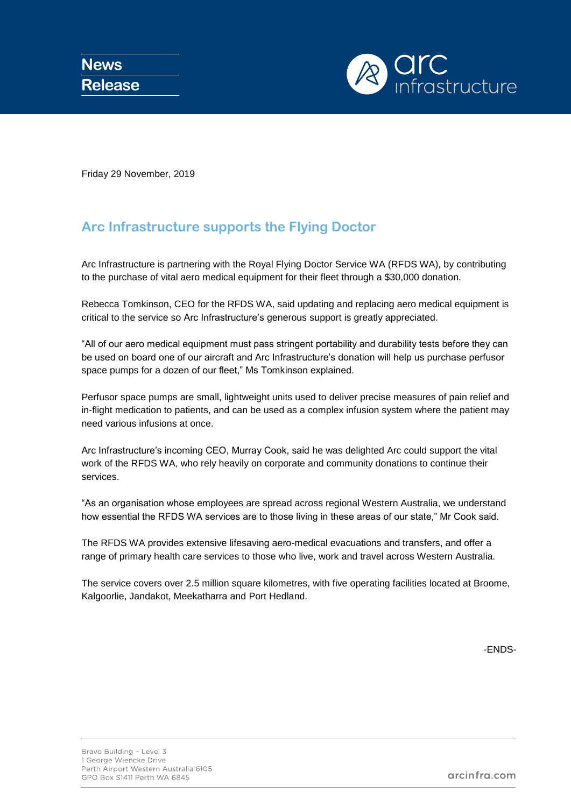

Friday 29 November, 2019

## **Arc Infrastructure supports the Flying Doctor**

Arc Infrastructure is partnering with the Royal Flying Doctor Service WA (RFDS WA), by contributing to the purchase of vital aero medical equipment for their fleet through a \$30,000 donation.

Rebecca Tomkinson, CEO for the RFDS WA, said updating and replacing aero medical equipment is critical to the service so Arc Infrastructure's generous support is greatly appreciated.

"All of our aero medical equipment must pass stringent portability and durability tests before they can be used on board one of our aircraft and Arc Infrastructure's donation will help us purchase perfusor space pumps for a dozen of our fleet," Ms Tomkinson explained.

Perfusor space pumps are small, lightweight units used to deliver precise measures of pain relief and in-flight medication to patients, and can be used as a complex infusion system where the patient may need various infusions at once.

Arc Infrastructure's incoming CEO, Murray Cook, said he was delighted Arc could support the vital work of the RFDS WA, who rely heavily on corporate and community donations to continue their services.

"As an organisation whose employees are spread across regional Western Australia, we understand how essential the RFDS WA services are to those living in these areas of our state," Mr Cook said.

The RFDS WA provides extensive lifesaving aero-medical evacuations and transfers, and offer a range of primary health care services to those who live, work and travel across Western Australia.

The service covers over 2.5 million square kilometres, with five operating facilities located at Broome, Kalgoorlie, Jandakot, Meekatharra and Port Hedland.

-ENDS-